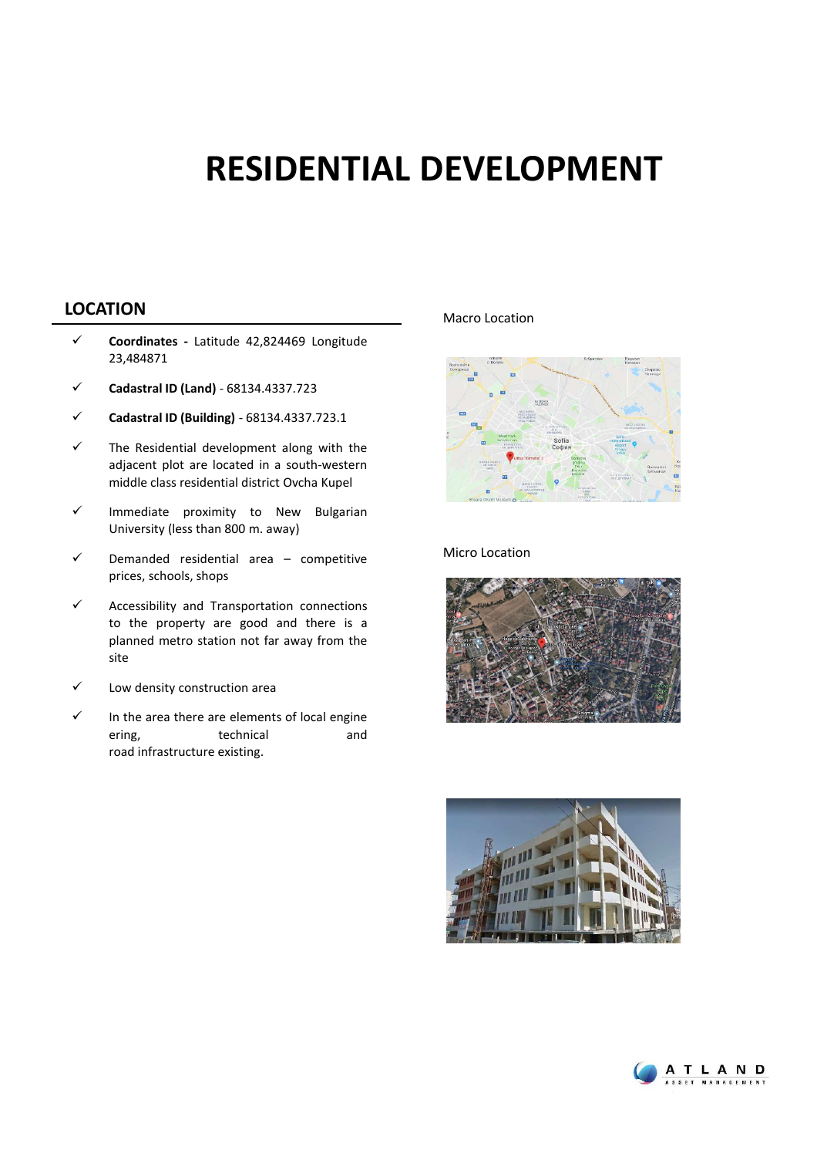## **RESIDENTIAL DEVELOPMENT**

## **LOCATION** Macro Location

- **Coordinates -** Latitude 42,824469 Longitude 23,484871
- **Cadastral ID (Land)** 68134.4337.723
- **Cadastral ID (Building)** 68134.4337.723.1
- $\checkmark$  The Residential development along with the adjacent plot are located in a south-western middle class residential district Ovcha Kupel
- $\checkmark$  Immediate proximity to New Bulgarian University (less than 800 m. away)
- $\checkmark$  Demanded residential area competitive prices, schools, shops
- $\checkmark$  Accessibility and Transportation connections to the property are good and there is a planned metro station not far away from the site
- $\checkmark$  Low density construction area
- $\checkmark$  In the area there are elements of local engine ering. The technical and and road infrastructure existing.



#### Micro Location